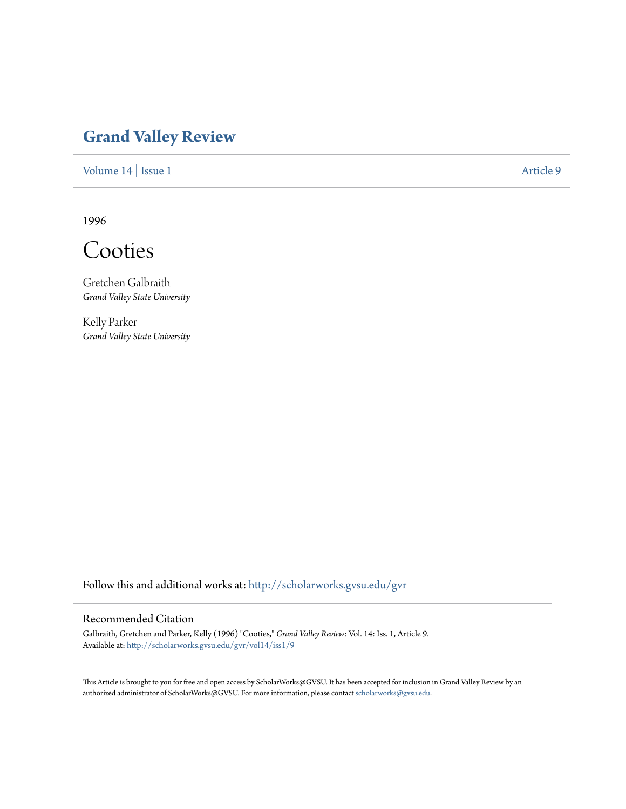## **[Grand Valley Review](http://scholarworks.gvsu.edu/gvr?utm_source=scholarworks.gvsu.edu%2Fgvr%2Fvol14%2Fiss1%2F9&utm_medium=PDF&utm_campaign=PDFCoverPages)**

[Volume 14](http://scholarworks.gvsu.edu/gvr/vol14?utm_source=scholarworks.gvsu.edu%2Fgvr%2Fvol14%2Fiss1%2F9&utm_medium=PDF&utm_campaign=PDFCoverPages) | [Issue 1](http://scholarworks.gvsu.edu/gvr/vol14/iss1?utm_source=scholarworks.gvsu.edu%2Fgvr%2Fvol14%2Fiss1%2F9&utm_medium=PDF&utm_campaign=PDFCoverPages) [Article 9](http://scholarworks.gvsu.edu/gvr/vol14/iss1/9?utm_source=scholarworks.gvsu.edu%2Fgvr%2Fvol14%2Fiss1%2F9&utm_medium=PDF&utm_campaign=PDFCoverPages)

1996

Cooties

Gretchen Galbraith *Grand Valley State University*

Kelly Parker *Grand Valley State University*

Follow this and additional works at: [http://scholarworks.gvsu.edu/gvr](http://scholarworks.gvsu.edu/gvr?utm_source=scholarworks.gvsu.edu%2Fgvr%2Fvol14%2Fiss1%2F9&utm_medium=PDF&utm_campaign=PDFCoverPages)

## Recommended Citation

Galbraith, Gretchen and Parker, Kelly (1996) "Cooties," *Grand Valley Review*: Vol. 14: Iss. 1, Article 9. Available at: [http://scholarworks.gvsu.edu/gvr/vol14/iss1/9](http://scholarworks.gvsu.edu/gvr/vol14/iss1/9?utm_source=scholarworks.gvsu.edu%2Fgvr%2Fvol14%2Fiss1%2F9&utm_medium=PDF&utm_campaign=PDFCoverPages)

This Article is brought to you for free and open access by ScholarWorks@GVSU. It has been accepted for inclusion in Grand Valley Review by an authorized administrator of ScholarWorks@GVSU. For more information, please contact [scholarworks@gvsu.edu.](mailto:scholarworks@gvsu.edu)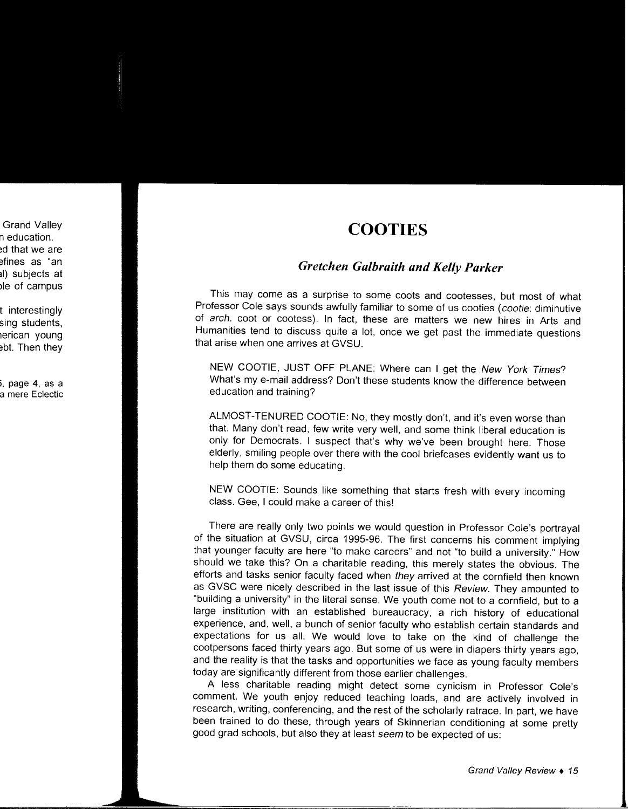## **COOTIES**

## *Gretchen Galbraith and Kelly Parker*

This may come as a surprise to some coots and cootesses, but most of what Professor Cole says sounds awfully familiar to some of us cooties (cootie: diminutive of arch. coot or cootess). In fact, these are matters we new hires in Arts and Humanities tend to discuss quite a lot, once we get past the immediate questions that arise when one arrives at GVSU.

NEW COOTIE, JUST OFF PLANE: Where can I get the New York Times? What's my e-mail address? Don't these students know the difference between education and training?

ALMOST-TENURED COOTIE: No, they mostly don't, and it's even worse than that. Many don't read, few write very well, and some think liberal education is only for Democrats. I suspect that's why we've been brought here. Those elderly, smiling people over there with the cool briefcases evidently want us to help them do some educating.

NEW COOTIE: Sounds like something that starts fresh with every incoming class. Gee, I could make a career of this!

There are really only two points we would question in Professor Cole's portrayal of the situation at GVSU, circa 1995-96. The first concerns his comment implying that younger faculty are here "to make careers" and not "to build a university." How should we take this? On a charitable reading, this merely states the obvious. The efforts and tasks senior faculty faced when they arrived at the cornfield then known as GVSC were nicely described in the last issue of this Review. They amounted to "building a university" in the literal sense. We youth come not to a cornfield, but to a large institution with an established bureaucracy, a rich history of educational experience, and, well, a bunch of senior faculty who establish certain standards and expectations for us all. We would love to take on the kind of challenge the cootpersons faced thirty years ago. But some of us were in diapers thirty years ago, and the reality is that the tasks and opportunities we face as young faculty members today are significantly different from those earlier challenges.

A less charitable reading might detect some cynicism in Professor Cole's comment. We youth enjoy reduced teaching loads, and are actively involved in research, writing, conferencing, and the rest of the scholarly ratrace. In part, we have been trained to do these, through years of Skinnerian conditioning at some pretty good grad schools, but also they at least seem to be expected of us: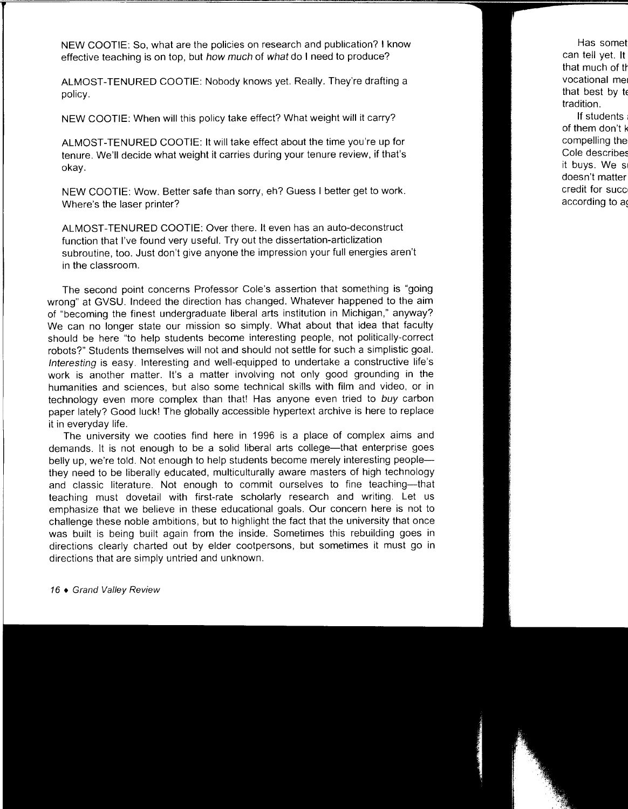NEW COOTIE: So, what are the policies on research and publication? I know effective teaching is on top, but how much of what do I need to produce?

ALMOST-TENURED COOTIE: Nobody knows yet. Really. They're drafting a policy.

NEW COOTIE: When will this policy take effect? What weight will it carry?

ALMOST-TENURED COOTIE: It will take effect about the time you're up for tenure. We'll decide what weight it carries during your tenure review, if that's okay.

NEW COOTIE: Wow. Better safe than sorry, eh? Guess I better get to work. Where's the laser printer?

ALMOST-TENURED COOTIE: Over there. It even has an auto-deconstruct function that I've found very useful. Try out the dissertation-articlization subroutine, too. Just don't give anyone the impression your full energies aren't in the classroom.

The second point concerns Professor Cole's assertion that something is "going wrong" at GVSU. Indeed the direction has changed. Whatever happened to the aim of "becoming the finest undergraduate liberal arts institution in Michigan," anyway? We can no longer state our mission so simply. What about that idea that faculty should be here "to help students become interesting people, not politically-correct robots?" Students themselves will not and should not settle for such a simplistic goal. Interesting is easy. Interesting and well-equipped to undertake a constructive life's work is another matter. It's a matter involving not only good grounding in the humanities and sciences, but also some technical skills with film and video, or in technology even more complex than that! Has anyone even tried to buy carbon paper lately? Good luck! The globally accessible hypertext archive is here to replace it in everyday life.

The university we cooties find here in 1996 is a place of complex aims and demands. It is not enough to be a solid liberal arts college—that enterprise goes belly up, we're told. Not enough to help students become merely interesting peoplethey need to be liberally educated, multiculturally aware masters of high technology and classic literature. Not enough to commit ourselves to fine teaching--that teaching must dovetail with first-rate scholarly research and writing. Let us emphasize that we believe in these educational goals. Our concern here is not to challenge these noble ambitions, but to highlight the fact that the university that once was built is being built again from the inside. Sometimes this rebuilding goes in directions clearly charted out by elder cootpersons, but sometimes it must go in directions that are simply untried and unknown.